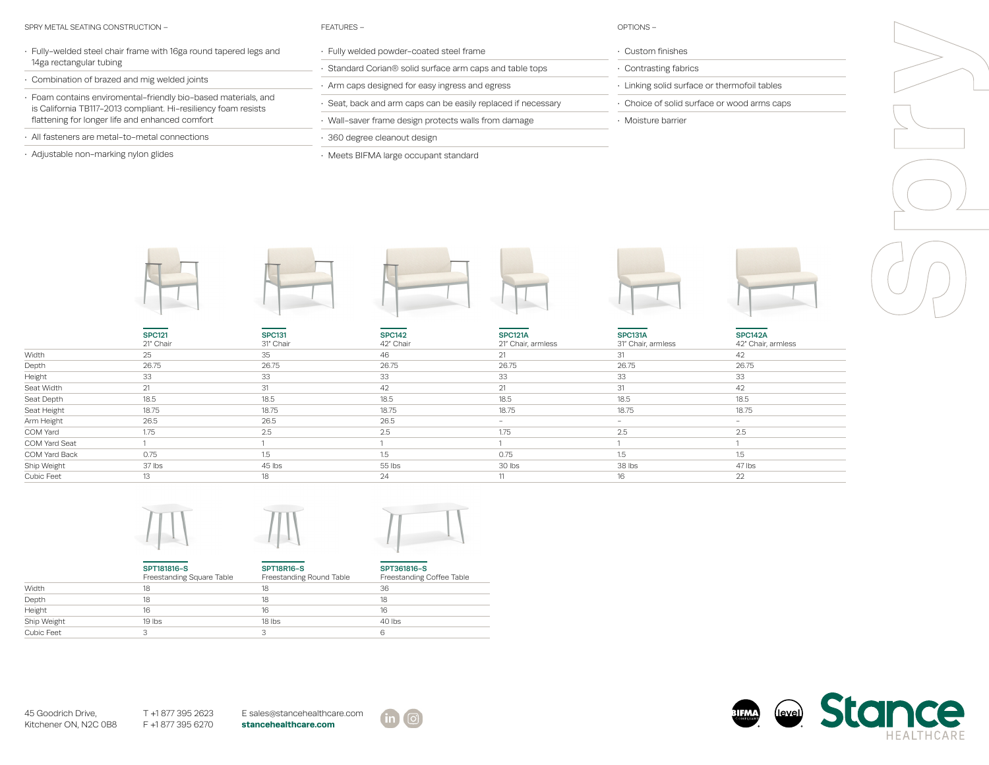## SPRY METAL SEATING CONSTRUCTION – FEATURES – OPTIONS –

| Fully-welded steel chair frame with 16ga round tapered legs and |
|-----------------------------------------------------------------|
| 14ga rectangular tubing                                         |

- Combination of brazed and mig welded joints
- Foam contains enviromental-friendly bio-based materials, and is California TB117-2013 compliant. Hi-resiliency foam resists flattening for longer life and enhanced comfort
- All fasteners are metal-to-metal connections
- Adjustable non-marking nylon glides

| ъ<br>1<br>ш |  |
|-------------|--|

- Fully welded powder-coated steel frame
- Standard Corian® solid surface arm caps and table tops
- Arm caps designed for easy ingress and egress
- Seat, back and arm caps can be easily replaced if necessary
- Wall-saver frame design protects walls from damage
- 360 degree cleanout design
- Meets BIFMA large occupant standard

- Custom finishes
- Contrasting fabrics
- Linking solid surface or thermofoil tables
- Choice of solid surface or wood arms caps
- Moisture barrier

|               | <b>SPC121</b><br>21" Chair | <b>SPC131</b><br>31" Chair | <b>SPC142</b><br>42" Chair | <b>SPC121A</b><br>21" Chair, armless | SPC131A<br>31" Chair, armless | <b>SPC142A</b><br>42" Chair, armless |  |
|---------------|----------------------------|----------------------------|----------------------------|--------------------------------------|-------------------------------|--------------------------------------|--|
| Width         | 25                         | 35                         | 46                         | 21                                   | 31                            | 42                                   |  |
| Depth         | 26.75                      | 26.75                      | 26.75                      | 26.75                                | 26.75                         | 26.75                                |  |
| Height        | 33                         | 33                         | 33                         | 33                                   | 33                            | 33                                   |  |
| Seat Width    | 21                         | 31                         | 42                         | 21                                   | 31                            | 42                                   |  |
| Seat Depth    | 18.5                       | 18.5                       | 18.5                       | 18.5                                 | 18.5                          | 18.5                                 |  |
| Seat Height   | 18.75                      | 18.75                      | 18.75                      | 18.75                                | 18.75                         | 18.75                                |  |
| Arm Height    | 26.5                       | 26.5                       | 26.5                       | $\overline{\phantom{0}}$             | $\sim$                        | $\sim$                               |  |
| COM Yard      | 1.75                       | 2.5                        | 2.5                        | 1.75                                 | 2.5                           | 2.5                                  |  |
| COM Yard Seat |                            |                            |                            |                                      |                               |                                      |  |
| COM Yard Back | 0.75                       | 1.5                        | 15                         | 0.75                                 | 1.5                           | 1.5                                  |  |
| Ship Weight   | 37 lbs                     | 45 lbs                     | 55 lbs                     | 30 lbs                               | 38 lbs                        | 47 lbs                               |  |
| Cubic Feet    | 13                         | 18                         | 24                         |                                      | 16                            | 22                                   |  |







|             | SPT181816-S<br>Freestanding Square Table | <b>SPT18R16-S</b><br>Freestanding Round Table | SPT361816-S<br>Freestanding Coffee Table |
|-------------|------------------------------------------|-----------------------------------------------|------------------------------------------|
| Width       | 18                                       | 18                                            | 36                                       |
| Depth       | 18                                       | 18                                            | 18                                       |
| Height      | 16                                       | 16                                            | 16                                       |
| Ship Weight | $19$ lbs                                 | 18 lbs                                        | 40 lbs                                   |
| Cubic Feet  |                                          |                                               | 6                                        |

45 Goodrich Drive, Kitchener ON, N2C 0B8 T +1 877 395 2623 F +1 877 395 6270 E sales@stancehealthcare.com **stancehealthcare.com**